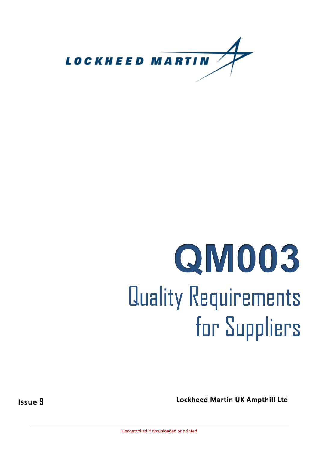

# QM003 **Quality Requirements** for Suppliers

**Lockheed Martin UK Ampthill Ltd** 

Issue 9

Uncontrolled if downloaded or printed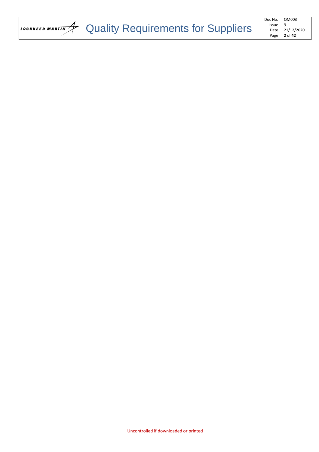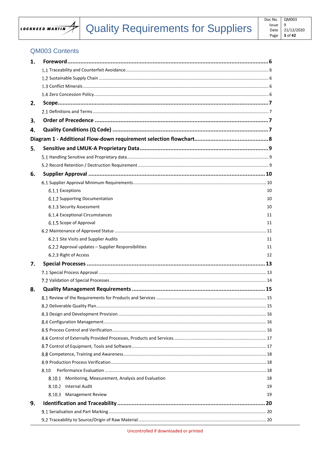

## QM003 Contents

| 1. |                                                            |    |
|----|------------------------------------------------------------|----|
|    |                                                            |    |
|    |                                                            |    |
|    |                                                            |    |
|    |                                                            |    |
| 2. |                                                            |    |
|    |                                                            |    |
| 3. |                                                            |    |
| 4. |                                                            |    |
|    |                                                            |    |
| 5. |                                                            |    |
|    |                                                            |    |
|    |                                                            |    |
| 6. |                                                            |    |
|    |                                                            |    |
|    | 6.1.1 Exceptions                                           | 10 |
|    | 6.1.2 Supporting Documentation                             | 10 |
|    | 6.1.3 Security Assessment                                  | 10 |
|    | 6.1.4 Exceptional Circumstances                            | 11 |
|    | 6.1.5 Scope of Approval                                    | 11 |
|    |                                                            |    |
|    | 6.2.1 Site Visits and Supplier Audits                      | 11 |
|    | 6.2.2 Approval updates - Supplier Responsibilities         | 11 |
|    | 6.2.3 Right of Access                                      | 12 |
| 7. |                                                            |    |
|    |                                                            |    |
|    |                                                            |    |
| 8. |                                                            |    |
|    |                                                            | 15 |
|    |                                                            |    |
|    |                                                            |    |
|    |                                                            |    |
|    |                                                            |    |
|    |                                                            |    |
|    |                                                            |    |
|    |                                                            |    |
|    |                                                            |    |
|    | 8.10                                                       |    |
|    | Monitoring, Measurement, Analysis and Evaluation<br>8.10.1 | 18 |
|    | 8.10.2 Internal Audit                                      | 19 |
|    | 8.10.3 Management Review                                   | 19 |
| 9. |                                                            |    |
|    |                                                            |    |
|    |                                                            |    |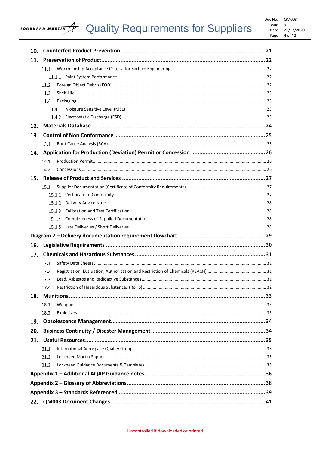

# **Quality Requirements for Suppliers**

| 10. |                                               |    |
|-----|-----------------------------------------------|----|
| 11. |                                               |    |
|     | 11.1                                          |    |
|     | 11.1.1 Paint System Performance               | 22 |
|     | 11.2                                          |    |
|     | 11.3                                          |    |
|     | 11.4                                          |    |
|     | 11.4.1 Moisture Sensitive Level (MSL)         | 23 |
|     | 11.4.2 Electrostatic Discharge (ESD)          | 23 |
| 12. |                                               |    |
| 13. |                                               |    |
|     | 13.1                                          |    |
| 14. |                                               |    |
|     | 14.1                                          |    |
|     | 14.2                                          |    |
| 15. |                                               |    |
|     | 15.1                                          |    |
|     | 15.1.1 Certificate of Conformity              | 27 |
|     | 15.1.2 Delivery Advice Note                   | 28 |
|     | 15.1.3 Calibration and Test Certification     | 28 |
|     | 15.1.4 Completeness of Supplied Documentation | 28 |
|     | 15.1.5 Late Deliveries / Short Deliveries     | 28 |
|     |                                               |    |
| 16. |                                               |    |
| 17. |                                               |    |
|     | 17.1                                          |    |
|     | 17.2                                          |    |
|     | 17.3                                          |    |
|     | 17.4                                          |    |
|     |                                               |    |
|     | 18.1                                          |    |
|     | 18.2                                          |    |
| 19. |                                               |    |
| 20. |                                               |    |
| 21. |                                               |    |
|     | 21.1                                          |    |
|     | 21.2                                          |    |
|     | 21.3                                          |    |
|     |                                               |    |
|     |                                               |    |
|     |                                               |    |
|     |                                               |    |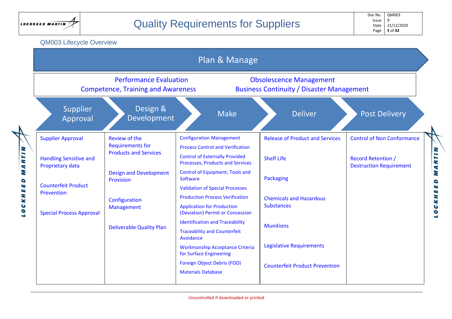

QM003 Lifecycle Overview

|                                                                             |                                                                            | Plan & Manage                                                                              |                                                                                    |                                                             |
|-----------------------------------------------------------------------------|----------------------------------------------------------------------------|--------------------------------------------------------------------------------------------|------------------------------------------------------------------------------------|-------------------------------------------------------------|
|                                                                             | <b>Performance Evaluation</b><br><b>Competence, Training and Awareness</b> |                                                                                            | <b>Obsolescence Management</b><br><b>Business Continuity / Disaster Management</b> |                                                             |
| Supplier<br>Approval                                                        | Design &<br>Development                                                    | <b>Make</b>                                                                                | <b>Deliver</b>                                                                     | <b>Post Delivery</b>                                        |
| <b>Supplier Approval</b>                                                    | <b>Review of the</b><br><b>Requirements for</b>                            | <b>Configuration Management</b><br><b>Process Control and Verification</b>                 | <b>Release of Product and Services</b>                                             | <b>Control of Non Conformance</b>                           |
| <b>Handling Sensitive and</b><br>Proprietary data                           | <b>Products and Services</b>                                               | <b>Control of Externally Provided</b><br>Processes, Products and Services                  | <b>Shelf Life</b>                                                                  | <b>Record Retention /</b><br><b>Destruction Requirement</b> |
|                                                                             | <b>Design and Development</b><br><b>Provision</b>                          | Control of Equipment, Tools and<br>Software                                                | Packaging                                                                          |                                                             |
| <b>Counterfeit Product</b><br>Prevention<br><b>Special Process Approval</b> | Configuration<br>Management<br><b>Deliverable Quality Plan</b>             | <b>Validation of Special Processes</b><br><b>Production Process Verification</b>           | <b>Chemicals and Hazardous</b>                                                     |                                                             |
|                                                                             |                                                                            | <b>Application for Production</b><br>(Deviation) Permit or Concession                      | <b>Substances</b>                                                                  |                                                             |
|                                                                             |                                                                            | <b>Identification and Traceability</b><br><b>Traceability and Counterfeit</b><br>Avoidance | <b>Munitions</b>                                                                   |                                                             |
|                                                                             |                                                                            | <b>Workmanship Acceptance Criteria</b><br>for Surface Engineering                          | <b>Legislative Requirements</b>                                                    |                                                             |
|                                                                             |                                                                            | Foreign Object Debris (FOD)<br><b>Materials Database</b>                                   | <b>Counterfeit Product Prevention</b>                                              |                                                             |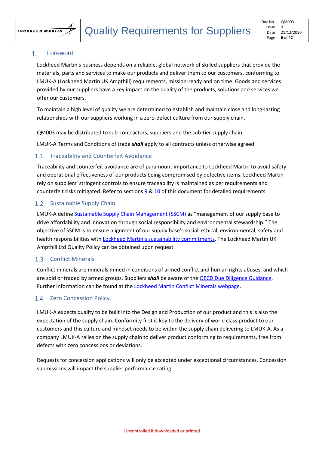<span id="page-5-5"></span>

#### <span id="page-5-0"></span> $1<sub>1</sub>$ Foreword

Lockheed Martin's business depends on a reliable, global network of skilled suppliers that provide the materials, parts and services to make our products and deliver them to our customers, conforming to LMUK-A (Lockheed Martin UK Ampthill) requirements, mission-ready and on time. Goods and services provided by our suppliers have a key impact on the quality of the products, solutions and services we offer our customers.

To maintain a high level of quality we are determined to establish and maintain close and long-lasting relationships with our suppliers working in a zero-defect culture from our supply chain.

QM003 may be distributed to sub-contractors, suppliers and the sub-tier supply chain.

LMUK-A Terms and Conditions of trade *shall* apply to all contracts unless otherwise agreed.

#### <span id="page-5-1"></span>Traceability and Counterfeit Avoidance  $1.1$

Traceability and counterfeit avoidance are of paramount importance to Lockheed Martin to avoid safety and operational effectiveness of our products being compromised by defective items. Lockheed Martin rely on suppliers' stringent controls to ensure traceability is maintained as per requirements and counterfeit risks mitigated. Refer to section[s 9](#page-19-0) & [10](#page-20-0) of this document for detailed requirements.

#### <span id="page-5-2"></span> $1.2<sub>1</sub>$ Sustainable Supply Chain

LMUK-A define **Sustainable Supply Chain Management (SSCM)** as "management of our supply base to drive affordability and innovation through social responsibility and environmental stewardship." The objective of SSCM is to ensure alignment of our supply base's social, ethical, environmental, safety and health responsibilities with [Lockheed Martin's sustainability com](http://www.lockheedmartin.com/us/who-we-are/sustainability.html)mitments. The Lockheed Martin UK Ampthill Ltd Quality Policy can be obtained upon request.

#### <span id="page-5-3"></span>1.3 Conflict Minerals

Conflict minerals are minerals mined in conditions of armed conflict and human rights abuses, and which are sold or traded by armed groups. Suppliers *shall* be aware of th[e OECD Due Diligence Guidance.](http://www.oecd.org/fr/daf/inv/mne/mining.htm) Further information can be found at the [Lockheed Martin Conflict Minerals webpage.](https://www.lockheedmartin.com/en-us/suppliers/sustainable-supply-chain.html#conflictminerals)

#### <span id="page-5-4"></span>1.4 Zero Concession Policy.

LMUK-A expects quality to be built into the Design and Production of our product and this is also the expectation of the supply chain. Conformity first is key to the delivery of world class product to our customers and this culture and mindset needs to be within the supply chain delivering to LMUK-A. As a company LMUK-A relies on the supply chain to deliver product conforming to requirements, free from defects with zero concessions or deviations.

Requests for concession applications will only be accepted under exceptional circumstances. Concession submissions will impact the supplier performance rating.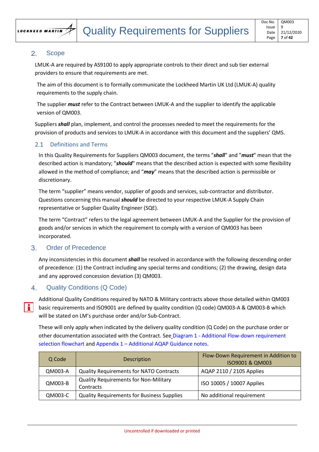#### <span id="page-6-0"></span> $2.$ **Scope**

LMUK-A are required by AS9100 to apply appropriate controls to their direct and sub tier external providers to ensure that requirements are met.

The aim of this document is to formally communicate the Lockheed Martin UK Ltd (LMUK-A) quality requirements to the supply chain.

The supplier *must* refer to the Contract between LMUK-A and the supplier to identify the applicable version of QM003.

Suppliers *shall* plan, implement, and control the processes needed to meet the requirements for the provision of products and services to LMUK-A in accordance with this document and the suppliers' QMS.

#### <span id="page-6-1"></span>2.1 Definitions and Terms

In this Quality Requirements for Suppliers QM003 document, the terms "*shall*" and "*must*" mean that the described action is mandatory; "*should*" means that the described action is expected with some flexibility allowed in the method of compliance; and "*may*" means that the described action is permissible or discretionary.

The term "supplier" means vendor, supplier of goods and services, sub-contractor and distributor. Questions concerning this manual *should* be directed to your respective LMUK-A Supply Chain representative or Supplier Quality Engineer (SQE).

The term "Contract" refers to the legal agreement between LMUK-A and the Supplier for the provision of goods and/or services in which the requirement to comply with a version of QM003 has been incorporated.

#### <span id="page-6-2"></span> $3.$ Order of Precedence

Any inconsistencies in this document *shall* be resolved in accordance with the following descending order of precedence: (1) the Contract including any special terms and conditions; (2) the drawing, design data and any approved concession deviation (3) QM003.

#### <span id="page-6-3"></span> $4_{-}$ Quality Conditions (Q Code)

Additional Quality Conditions required by NATO & Military contracts above those detailed within QM003 basic requirements and ISO9001 are defined by quality condition (Q code) QM003-A & QM003-B which will be stated on LM's purchase order and/or Sub-Contract.

These will only apply when indicated by the delivery quality condition (Q Code) on the purchase order or other documentation associated with the Contract. See Diagram 1 - [Additional Flow-down requirement](#page-7-0)  [selection flowchart](#page-7-0) and Appendix 1 – [Additional AQAP Guidance notes.](#page-35-0)

| Q Code  | <b>Description</b>                                        | Flow-Down Requirement in Addition to<br>ISO9001 & QM003 |
|---------|-----------------------------------------------------------|---------------------------------------------------------|
| QM003-A | <b>Quality Requirements for NATO Contracts</b>            | AQAP 2110 / 2105 Applies                                |
| QM003-B | <b>Quality Requirements for Non-Military</b><br>Contracts | ISO 10005 / 10007 Applies                               |
| QM003-C | <b>Quality Requirements for Business Supplies</b>         | No additional requirement                               |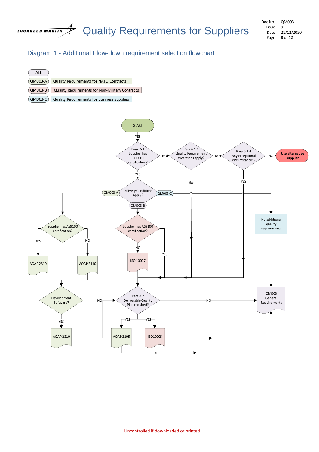

## <span id="page-7-0"></span>Diagram 1 - Additional Flow-down requirement selection flowchart

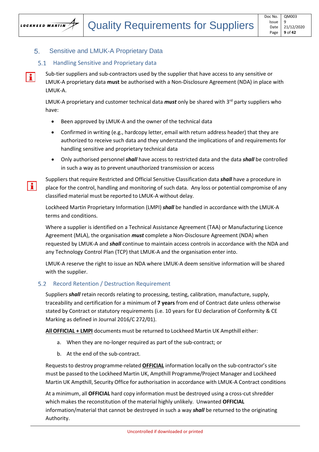#### <span id="page-8-3"></span><span id="page-8-0"></span>5. Sensitive and LMUK-A Proprietary Data

## <span id="page-8-1"></span>5.1 Handling Sensitive and Proprietary data

i.

H

Sub-tier suppliers and sub-contractors used by the supplier that have access to any sensitive or LMUK-A proprietary data **must** be authorised with a Non-Disclosure Agreement (NDA) in place with LMUK-A.

LMUK-A proprietary and customer technical data *must* only be shared with 3<sup>rd</sup> party suppliers who have:

- Been approved by LMUK-A and the owner of the technical data
- Confirmed in writing (e.g., hardcopy letter, email with return address header) that they are authorized to receive such data and they understand the implications of and requirements for handling sensitive and proprietary technical data
- <span id="page-8-4"></span>• Only authorised personnel *shall* have access to restricted data and the data *shall* be controlled in such a way as to prevent unauthorized transmission or access

Suppliers that require Restricted and Official Sensitive Classification data *shall* have a procedure in place for the control, handling and monitoring of such data. Any loss or potential compromise of any classified material must be reported to LMUK-A without delay.

Lockheed Martin Proprietary Information (LMPI) *shall* be handled in accordance with the LMUK-A terms and conditions.

Where a supplier is identified on a Technical Assistance Agreement (TAA) or Manufacturing Licence Agreement (MLA), the organisation *must* complete a Non-Disclosure Agreement (NDA) when requested by LMUK-A and *shall* continue to maintain access controls in accordance with the NDA and any Technology Control Plan (TCP) that LMUK-A and the organisation enter into.

LMUK-A reserve the right to issue an NDA where LMUK-A deem sensitive information will be shared with the supplier.

#### <span id="page-8-2"></span>5.2 Record Retention / Destruction Requirement

Suppliers *shall* retain records relating to processing, testing, calibration, manufacture, supply, traceability and certification for a minimum of **7 years** from end of Contract date unless otherwise stated by Contract or statutory requirements (i.e. 10 years for EU declaration of Conformity & CE Marking as defined in Journal 2016/C 272/01).

**AllOFFICIAL + LMPI** documents must be returned to Lockheed Martin UK Ampthill either:

- a. When they are no-longer required as part of the sub-contract; or
- b. At the end of the sub-contract.

Requests to destroy programme-related **OFFICIAL** information locally on the sub-contractor's site must be passed to the Lockheed Martin UK, Ampthill Programme/Project Manager and Lockheed Martin UK Ampthill, Security Office for authorisation in accordance with LMUK-A Contract conditions

At a minimum, all **OFFICIAL** hard copy information must be destroyed using a cross-cut shredder which makes the reconstitution of the material highly unlikely. Unwanted **OFFICIAL** information/material that cannot be destroyed in such a way *shall* be returned to the originating Authority.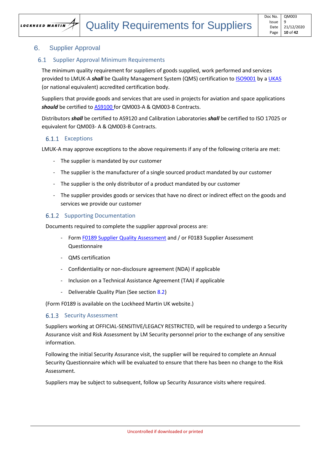#### <span id="page-9-5"></span><span id="page-9-0"></span> $6<sub>1</sub>$ Supplier Approval

#### <span id="page-9-1"></span> $6.1$ Supplier Approval Minimum Requirements

The minimum quality requirement for suppliers of goods supplied, work performed and services provided to LMUK-A *shall* be Quality Management System (QMS) certification to **ISO9001** by a [UKAS](http://www.ukas.com/) (or national equivalent) accredited certification body.

Suppliers that provide goods and services that are used in projects for aviation and space applications *should* be certified to [AS9100](https://www.sae.org/standards/content/as9100d/) for QM003-A & QM003-B Contracts.

Distributors *shall* be certified to AS9120 and Calibration Laboratories *shall* be certified to ISO 17025 or equivalent for QM003- A & QM003-B Contracts.

#### <span id="page-9-2"></span>6.1.1 Exceptions

LMUK-A may approve exceptions to the above requirements if any of the following criteria are met:

- The supplier is mandated by our customer
- The supplier is the manufacturer of a single sourced product mandated by our customer
- The supplier is the only distributor of a product mandated by our customer
- The supplier provides goods or services that have no direct or indirect effect on the goods and services we provide our customer

#### <span id="page-9-3"></span>6.1.2 Supporting Documentation

Documents required to complete the supplier approval process are:

- For[m F0189 Supplier Quality Assessment](https://www.lockheedmartin.com/content/dam/lockheed-martin/uk/documents/suppliers/F0189%20Supplier%20Assessment%20Report.docx) and / or F0183 Supplier Assessment Questionnaire
- QMS certification
- Confidentiality or non-disclosure agreement (NDA) if applicable
- Inclusion on a Technical Assistance Agreement (TAA) if applicable
- Deliverable Quality Plan (See sectio[n 8.2\)](#page-14-2)

(Form F0189 is available on the Lockheed Martin UK website.)

#### <span id="page-9-4"></span>6.1.3 Security Assessment

Suppliers working at OFFICIAL-SENSITIVE/LEGACY RESTRICTED, will be required to undergo a Security Assurance visit and Risk Assessment by LM Security personnel prior to the exchange of any sensitive information.

Following the initial Security Assurance visit, the supplier will be required to complete an Annual Security Questionnaire which will be evaluated to ensure that there has been no change to the Risk Assessment.

Suppliers may be subject to subsequent, follow up Security Assurance visits where required.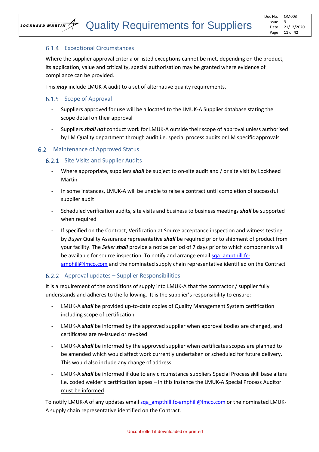#### <span id="page-10-0"></span>6.1.4 Exceptional Circumstances

Where the supplier approval criteria or listed exceptions cannot be met, depending on the product, its application, value and criticality, special authorisation may be granted where evidence of compliance can be provided.

This *may* include LMUK-A audit to a set of alternative quality requirements.

#### <span id="page-10-1"></span>6.1.5 Scope of Approval

- Suppliers approved for use will be allocated to the LMUK-A Supplier database stating the scope detail on their approval
- Suppliers *shall not* conduct work for LMUK-A outside their scope of approval unless authorised by LM Quality department through audit i.e. special process audits or LM specific approvals

#### <span id="page-10-3"></span><span id="page-10-2"></span>6.2 Maintenance of Approved Status

#### 6.2.1 Site Visits and Supplier Audits

- Where appropriate, suppliers *shall* be subject to on-site audit and / or site visit by Lockheed Martin
- In some instances, LMUK-A will be unable to raise a contract until completion of successful supplier audit
- Scheduled verification audits, site visits and business to business meetings *shall* be supported when required
- If specified on the Contract, Verification at Source acceptance inspection and witness testing by *Buyer* Quality Assurance representative *shall* be required prior to shipment of product from your facility. The *Seller shall* provide a notice period of 7 days prior to which components will be available for source inspection. To notify and arrange email [sqa\\_ampthill.fc](mailto:sqa_ampthill.fc-amphill@lmco.com)[amphill@lmco.com](mailto:sqa_ampthill.fc-amphill@lmco.com) and the nominated supply chain representative identified on the Contract

#### <span id="page-10-4"></span>Approval updates – Supplier Responsibilities

It is a requirement of the conditions of supply into LMUK-A that the contractor / supplier fully understands and adheres to the following. It is the supplier's responsibility to ensure:

- LMUK-A *shall* be provided up-to-date copies of Quality Management System certification including scope of certification
- LMUK-A **shall** be informed by the approved supplier when approval bodies are changed, and certificates are re-issued or revoked
- LMUK-A **s***hall* be informed by the approved supplier when certificates scopes are planned to be amended which would affect work currently undertaken or scheduled for future delivery. This would also include any change of address
- LMUK-A *shall* be informed if due to any circumstance suppliers Special Process skill base alters i.e. coded welder's certification lapses – in this instance the LMUK-A Special Process Auditor must be informed

To notify LMUK-A of any updates email [sqa\\_ampthill.fc-amphill@lmco.com](mailto:sqa_ampthill.fc-amphill@lmco.com) or the nominated LMUK-A supply chain representative identified on the Contract.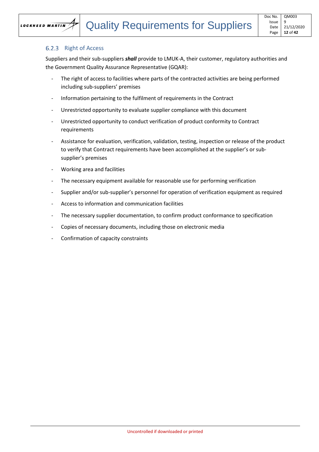## <span id="page-11-0"></span>6.2.3 Right of Access

Suppliers and their sub-suppliers *shall* provide to LMUK-A, their customer, regulatory authorities and the Government Quality Assurance Representative (GQAR):

- The right of access to facilities where parts of the contracted activities are being performed including sub-suppliers' premises
- Information pertaining to the fulfilment of requirements in the Contract
- Unrestricted opportunity to evaluate supplier compliance with this document
- Unrestricted opportunity to conduct verification of product conformity to Contract requirements
- Assistance for evaluation, verification, validation, testing, inspection or release of the product to verify that Contract requirements have been accomplished at the supplier's or subsupplier's premises
- Working area and facilities
- The necessary equipment available for reasonable use for performing verification
- Supplier and/or sub-supplier's personnel for operation of verification equipment as required
- Access to information and communication facilities
- The necessary supplier documentation, to confirm product conformance to specification
- Copies of necessary documents, including those on electronic media
- Confirmation of capacity constraints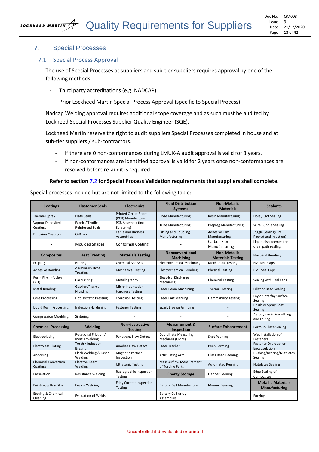#### <span id="page-12-0"></span> $7<sub>1</sub>$ Special Processes

<span id="page-12-2"></span>**LOCKHEED MARTIN** 

#### <span id="page-12-1"></span> $7.1$ Special Process Approval

The use of Special Processes at suppliers and sub-tier suppliers requires approval by one of the following methods:

- Third party accreditations (e.g. NADCAP)
- Prior Lockheed Martin Special Process Approval (specific to Special Process)

Nadcap Welding approval requires additional scope coverage and as such must be audited by Lockheed Special Processes Supplier Quality Engineer (SQE).

Lockheed Martin reserve the right to audit suppliers Special Processes completed in house and at sub-tier suppliers / sub-contractors.

- If there are 0 non-conformances during LMUK-A audit approval is valid for 3 years.
- If non-conformances are identified approval is valid for 2 years once non-conformances are resolved before re-audit is required

#### **Refer to section** [7.2](#page-13-0) **for Special Process Validation requirements that suppliers shall complete.**

Special processes include but are not limited to the following table: -

| <b>Coatings</b>                        | <b>Elastomer Seals</b>                      | <b>Electronics</b>                                  | <b>Fluid Distribution</b><br><b>Systems</b>         | <b>Non-Metallic</b><br><b>Materials</b>         | <b>Sealants</b>                                   |
|----------------------------------------|---------------------------------------------|-----------------------------------------------------|-----------------------------------------------------|-------------------------------------------------|---------------------------------------------------|
| <b>Thermal Spray</b>                   | <b>Plate Seals</b>                          | <b>Printed Circuit Board</b><br>(PCB) Manufacture   | <b>Hose Manufacturing</b>                           | <b>Resin Manufacturing</b>                      | Hole / Slot Sealing                               |
| Vapour Deposited<br>Coatings           | Fabric / Textile<br><b>Reinforced Seals</b> | PCB Assembly (Incl.<br>Soldering)                   | <b>Tube Manufacturing</b>                           | <b>Prepreg Manufacturing</b>                    | Wire Bundle Sealing                               |
| <b>Diffusion Coatings</b>              | O-Rings                                     | Cable and Harness<br><b>Assemblies</b>              | <b>Fitting and Coupling</b><br>Manufacturing        | <b>Adhesive Film</b><br>Manufacturing           | Joggle Sealing (Pre-<br>Packed and Injection)     |
|                                        | <b>Moulded Shapes</b>                       | <b>Conformal Coating</b>                            |                                                     | Carbon Fibre<br>Manufacturing                   | Liquid displacement or<br>drain path sealing      |
| <b>Composites</b>                      | <b>Heat Treating</b>                        | <b>Materials Testing</b>                            | <b>Nonconventional</b><br><b>Machining</b>          | <b>Non-Metallic</b><br><b>Materials Testing</b> | <b>Electrical Bonding</b>                         |
| Prepreg                                | <b>Brazing</b>                              | <b>Chemical Analysis</b>                            | <b>Electrochemical Machining</b>                    | <b>Mechanical Testing</b>                       | <b>EMI Seal Caps</b>                              |
| <b>Adhesive Bonding</b>                | Aluminium Heat<br>Treating                  | <b>Mechanical Testing</b>                           | <b>Electrochemical Grinding</b>                     | <b>Physical Testing</b>                         | <b>PMF Seal Caps</b>                              |
| Resin Film Infusion<br>(RFI)           | Carburizing                                 | Metallography                                       | <b>Electrical Discharge</b><br>Machining            | <b>Chemical Testing</b>                         | Sealing with Seal Caps                            |
| <b>Metal Bonding</b>                   | Gas/Ion/Plasma<br>Nitriding                 | <b>Micro Indentation</b><br><b>Hardness Testing</b> | Laser Beam Machining                                | <b>Thermal Testing</b>                          | <b>Fillet or Bead Sealing</b>                     |
| <b>Core Processing</b>                 | <b>Hot Isostatic Pressing</b>               | <b>Corrosion Testing</b>                            | Laser Part Marking                                  | <b>Flammability Testing</b>                     | Fay or Interfay Surface<br>Sealing                |
| <b>Liquid Resin Processing</b>         | <b>Induction Hardening</b>                  | <b>Fastener Testing</b>                             | <b>Spark Erosion Grinding</b>                       |                                                 | Brush or Spray Coat<br><b>Sealing</b>             |
| <b>Compression Moulding</b>            | Sintering                                   |                                                     |                                                     |                                                 | Aerodynamic Smoothing<br>and Fairing              |
| <b>Chemical Processing</b>             | Welding                                     | <b>Non-destructive</b><br><b>Testing</b>            | <b>Measurement &amp;</b><br>Inspection              | <b>Surface Enhancement</b>                      | Form-in-Place Sealing                             |
| Electroplating                         | Rotational Friction /<br>Inertia Welding    | <b>Penetrant Flaw Detect</b>                        | <b>Coordinate Measuring</b><br>Machines (CMM)       | Shot Peening                                    | Wet Installation of<br>Fasteners                  |
| <b>Electroless Plating</b>             | Torch / Induction<br><b>Brazing</b>         | <b>Anodise Flaw Detect</b>                          | Laser Tracker                                       | Peen Forming                                    | Fastener Overcoat or<br>Encapsulation             |
| Anodising                              | Flash Welding & Laser<br>Welding            | <b>Magnetic Particle</b><br>Inspection              | <b>Articulating Arm</b>                             | <b>Glass Bead Peening</b>                       | <b>Bushing/Bearing/Nutplates</b><br>Sealing       |
| <b>Chemical Conversion</b><br>Coatings | Electron Beam<br>Welding                    | <b>Ultrasonic Testing</b>                           | <b>Mass Airflow Measurement</b><br>of Turbine Parts | <b>Automated Peening</b>                        | <b>Nutplates Sealing</b>                          |
| Passivation                            | <b>Resistance Welding</b>                   | Radiographic Inspection<br>Testing                  | <b>Energy Storage</b>                               | <b>Flapper Peening</b>                          | Edge Sealing of<br>Composites                     |
| Painting & Dry-Film                    | <b>Fusion Welding</b>                       | <b>Eddy Current Inspection</b><br><b>Testing</b>    | <b>Battery Cell Manufacture</b>                     | <b>Manual Peening</b>                           | <b>Metallic Materials</b><br><b>Manufacturing</b> |
| Etching & Chemical<br>Cleaning         | <b>Evaluation of Welds</b>                  |                                                     | <b>Battery Cell Array</b><br>Assemblies             |                                                 | Forging                                           |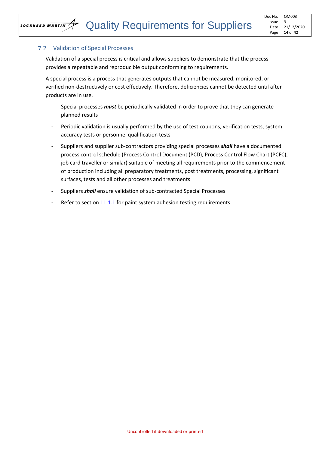#### <span id="page-13-1"></span><span id="page-13-0"></span>7.2 Validation of Special Processes

Validation of a special process is critical and allows suppliers to demonstrate that the process provides a repeatable and reproducible output conforming to requirements.

A special process is a process that generates outputs that cannot be measured, monitored, or verified non-destructively or cost effectively. Therefore, deficiencies cannot be detected until after products are in use.

- Special processes *must* be periodically validated in order to prove that they can generate planned results
- Periodic validation is usually performed by the use of test coupons, verification tests, system accuracy tests or personnel qualification tests
- Suppliers and supplier sub-contractors providing special processes *shall* have a documented process control schedule (Process Control Document (PCD), Process Control Flow Chart (PCFC), job card traveller or similar) suitable of meeting all requirements prior to the commencement of production including all preparatory treatments, post treatments, processing, significant surfaces, tests and all other processes and treatments
- Suppliers *shall* ensure validation of sub-contracted Special Processes
- Refer to section [11.1.1](#page-21-2) for paint system adhesion testing requirements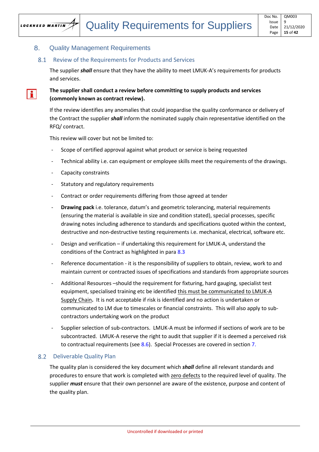#### <span id="page-14-3"></span><span id="page-14-0"></span> $8<sub>1</sub>$ Quality Management Requirements

#### <span id="page-14-1"></span>8.1 Review of the Requirements for Products and Services

The supplier *shall* ensure that they have the ability to meet LMUK-A's requirements for products and services.



#### **The supplier shall conduct a review before committing to supply products and services (commonly known as contract review).**

If the review identifies any anomalies that could jeopardise the quality conformance or delivery of the Contract the supplier *shall* inform the nominated supply chain representative identified on the RFQ/ contract.

This review will cover but not be limited to:

- Scope of certified approval against what product or service is being requested
- Technical ability i.e. can equipment or employee skills meet the requirements of the drawings.
- Capacity constraints
- Statutory and regulatory requirements
- Contract or order requirements differing from those agreed at tender
- <span id="page-14-4"></span>- **Drawing pack** i.e. tolerance, datum's and geometric tolerancing, material requirements (ensuring the material is available in size and condition stated), special processes, specific drawing notes including adherence to standards and specifications quoted within the context, destructive and non-destructive testing requirements i.e. mechanical, electrical, software etc.
- Design and verification if undertaking this requirement for LMUK-A, understand the conditions of the Contract as highlighted in para [8.3](#page-15-0)
- Reference documentation it is the responsibility of suppliers to obtain, review, work to and maintain current or contracted issues of specifications and standards from appropriate sources
- Additional Resources –should the requirement for fixturing, hard gauging, specialist test equipment, specialised training etc be identified this must be communicated to LMUK-A Supply Chain**.** It is not acceptable if risk is identified and no action is undertaken or communicated to LM due to timescales or financial constraints. This will also apply to subcontractors undertaking work on the product
- Supplier selection of sub-contractors. LMUK-A must be informed if sections of work are to be subcontracted. LMUK-A reserve the right to audit that supplier if it is deemed a perceived risk to contractual requirements (se[e 8.6\)](#page-16-0). Special Processes are covered in sectio[n 7.](#page-12-0)

#### <span id="page-14-2"></span>8.2 Deliverable Quality Plan

The quality plan is considered the key document which *shall* define all relevant standards and procedures to ensure that work is completed with zero defects to the required level of quality. The supplier *must* ensure that their own personnel are aware of the existence, purpose and content of the quality plan.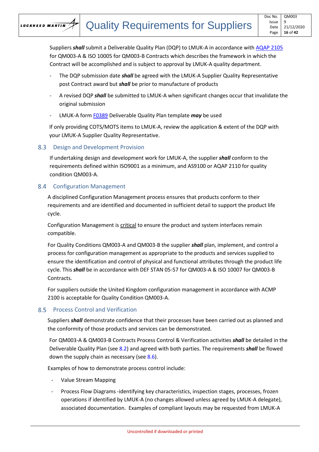<span id="page-15-4"></span><span id="page-15-3"></span>Suppliers *shall* submit a Deliverable Quality Plan (DQP) to LMUK-A in accordance wit[h AQAP 2105](http://infostore.saiglobal.com/store/details.aspx?ProductID=1398274) for QM003-A & ISO 10005 for QM003-B Contracts which describes the framework in which the Contract will be accomplished and is subject to approval by LMUK-A quality department.

- The DQP submission date *shall* be agreed with the LMUK-A Supplier Quality Representative post Contract award but *shall* be prior to manufacture of products
- A revised DQP *shall* be submitted to LMUK-A when significant changes occur that invalidate the original submission
- LMUK-A form [F0389](https://www.lockheedmartin.com/content/dam/lockheed-martin/uk/documents/suppliers/F0389%20Deliverable%20Quality%20Plan%20Template.docx) Deliverable Quality Plan template *may* be used

If only providing COTS/MOTS items to LMUK-A, review the application & extent of the DQP with your LMUK-A Supplier Quality Representative.

#### <span id="page-15-0"></span>8.3 Design and Development Provision

If undertaking design and development work for LMUK-A, the supplier *shall* conform to the requirements defined within ISO9001 as a minimum, and AS9100 or AQAP 2110 for quality condition QM003-A.

#### <span id="page-15-5"></span><span id="page-15-1"></span>8.4 Configuration Management

A disciplined Configuration Management process ensures that products conform to their requirements and are identified and documented in sufficient detail to support the product life cycle.

Configuration Management is critical to ensure the product and system interfaces remain compatible.

For Quality Conditions QM003-A and QM003-B the supplier *shall* plan, implement, and control a process for configuration management as appropriate to the products and services supplied to ensure the identification and control of physical and functional attributes through the product life cycle. This *shall* be in accordance with DEF STAN 05-57 for QM003-A & ISO 10007 for QM003-B Contracts.

For suppliers outside the United Kingdom configuration management in accordance with ACMP 2100 is acceptable for Quality Condition QM003-A.

#### <span id="page-15-2"></span>8.5 Process Control and Verification

Suppliers *shall* demonstrate confidence that their processes have been carried out as planned and the conformity of those products and services can be demonstrated.

For QM003-A & QM003-B Contracts Process Control & Verification activities *shall* be detailed in the Deliverable Quality Plan (se[e 8.2\)](#page-14-2) and agreed with both parties. The requirements *shall* be flowed down the supply chain as necessary (see [8.6\)](#page-16-0).

Examples of how to demonstrate process control include:

- Value Stream Mapping
- Process Flow Diagrams -identifying key characteristics, inspection stages, processes, frozen operations if identified by LMUK-A (no changes allowed unless agreed by LMUK-A delegate), associated documentation. Examples of compliant layouts may be requested from LMUK-A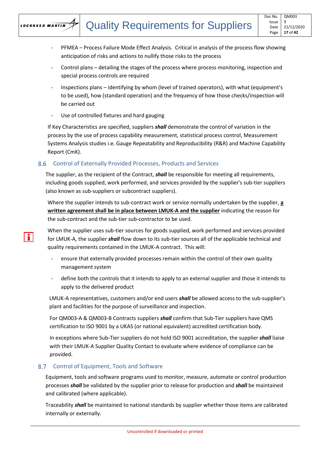<span id="page-16-3"></span>H

- <span id="page-16-2"></span>- PFMEA – Process Failure Mode Effect Analysis. Critical in analysis of the process flow showing anticipation of risks and actions to nullify those risks to the process
- Control plans detailing the stages of the process where process monitoring, inspection and special process controls are required
- Inspections plans identifying by whom (level of trained operators), with what (equipment's to be used), how (standard operation) and the frequency of how those checks/inspection will be carried out
- Use of controlled fixtures and hard gauging

If Key Characteristics are specified, suppliers *shall* demonstrate the control of variation in the process by the use of process capability measurement, statistical process control, Measurement Systems Analysis studies i.e. Gauge Repeatability and Reproducibility (R&R) and Machine Capability Report (CmK).

#### <span id="page-16-0"></span>Control of Externally Provided Processes, Products and Services

The supplier, as the recipient of the Contract, *shall* be responsible for meeting all requirements, including goods supplied, work performed, and services provided by the supplier's sub-tier suppliers (also known as sub-suppliers or subcontract suppliers).

Where the supplier intends to sub-contract work or service normally undertaken by the supplier, **a written agreement shall be in place between LMUK-A and the supplier** indicating the reason for the sub-contract and the sub-tier sub-contractor to be used.

When the supplier uses sub-tier sources for goods supplied, work performed and services provided for LMUK-A, the supplier *shall* flow down to its sub-tier sources all of the applicable technical and quality requirements contained in the LMUK-A contract. This will:

- ensure that externally provided processes remain within the control of their own quality management system
- define both the controls that it intends to apply to an external supplier and those it intends to apply to the delivered product

LMUK-A representatives, customers and/or end users *shall* be allowed access to the sub-supplier's plant and facilities for the purpose of surveillance and inspection.

For QM003-A & QM003-B Contracts suppliers *shall* confirm that Sub-Tier suppliers have QMS certification to ISO 9001 by a UKAS (or national equivalent) accredited certification body.

In exceptions where Sub-Tier suppliers do not hold ISO 9001 accreditation, the supplier *shall* liaise with their LMUK-A Supplier Quality Contact to evaluate where evidence of compliance can be provided.

#### <span id="page-16-1"></span>8.7 Control of Equipment, Tools and Software

Equipment, tools and software programs used to monitor, measure, automate or control production processes *shall* be validated by the supplier prior to release for production and *shall* be maintained and calibrated (where applicable).

Traceability *shall* be maintained to national standards by supplier whether those items are calibrated internally or externally.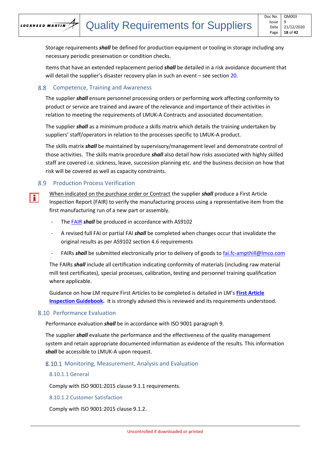A

<span id="page-17-6"></span><span id="page-17-4"></span>Storage requirements *shall* be defined for production equipment or tooling in storage including any necessary periodic preservation or condition checks.

Items that have an extended replacement period *shall* be detailed in a risk avoidance document that will detail the supplier's disaster recovery plan in such an event – see section [20.](#page-33-1)

#### <span id="page-17-0"></span>8.8 Competence, Training and Awareness

The supplier *shall* ensure personnel processing orders or performing work affecting conformity to product or service are trained and aware of the relevance and importance of their activities in relation to meeting the requirements of LMUK-A Contracts and associated documentation.

The supplier *shall* as a minimum produce a skills matrix which details the training undertaken by suppliers' staff/operators in relation to the processes specific to LMUK-A product.

The skills matrix *shall* be maintained by supervisory/management level and demonstrate control of those activities. The skills matrix procedure *shall* also detail how risks associated with highly skilled staff are covered i.e. sickness, leave, succession planning etc. and the business decision on how that risk will be covered as well as capacity constraints.

#### <span id="page-17-5"></span><span id="page-17-1"></span>8.9 Production Process Verification

When indicated on the purchase order or Contract the supplier *shall* produce a First Article Inspection Report (FAIR) to verify the manufacturing process using a representative item from the first manufacturing run of a new part or assembly.

- The [FAIR](http://www.sae.org/iaqg/forms/index.htm) *shall* be produced in accordance with AS9102
- A revised full FAI or partial FAI *shall* be completed when changes occur that invalidate the original results as per AS9102 section 4.6 requirements
- FAIRs **shall** be submitted electronically prior to delivery of goods to [fai.fc-ampthill@lmco.com](mailto:fai.fc-ampthill@lmco.com)

The FAIRs *shall* include all certification indicating conformity of materials (including raw material mill test certificates), special processes, calibration, testing and personnel training qualification where applicable.

Guidance on how LM require First Articles to be completed is detailed in LM's **[First Article](https://www.lockheedmartin.com/content/dam/lockheed-martin/uk/documents/suppliers/SQAG001.pdf)  [Inspection Guidebook.](https://www.lockheedmartin.com/content/dam/lockheed-martin/uk/documents/suppliers/SQAG001.pdf)** It is strongly advised this is reviewed and its requirements understood.

#### <span id="page-17-2"></span>8.10 Performance Evaluation

Performance evaluation *shall* be in accordance with ISO 9001 paragraph 9.

The supplier *shall* evaluate the performance and the effectiveness of the quality management system and retain appropriate documented information as evidence of the results. This information *shall* be accessible to LMUK-A upon request.

#### <span id="page-17-3"></span>8.10.1 Monitoring, Measurement, Analysis and Evaluation

#### 8.10.1.1 General

Comply with ISO 9001:2015 clause 9.1.1 requirements.

8.10.1.2 Customer Satisfaction

Comply with ISO 9001:2015 clause 9.1.2.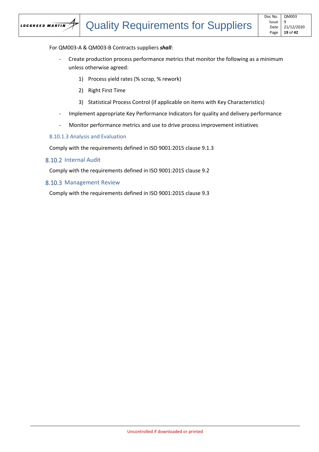

For QM003-A & QM003-B Contracts suppliers *shall*:

- Create production process performance metrics that monitor the following as a minimum unless otherwise agreed:
	- 1) Process yield rates (% scrap, % rework)
	- 2) Right First Time
	- 3) Statistical Process Control (if applicable on items with Key Characteristics)
- Implement appropriate Key Performance Indicators for quality and delivery performance
- Monitor performance metrics and use to drive process improvement initiatives

#### 8.10.1.3 Analysis and Evaluation

Comply with the requirements defined in ISO 9001:2015 clause 9.1.3

#### <span id="page-18-0"></span>8.10.2 Internal Audit

Comply with the requirements defined in ISO 9001:2015 clause 9.2

#### <span id="page-18-1"></span>8.10.3 Management Review

Comply with the requirements defined in ISO 9001:2015 clause 9.3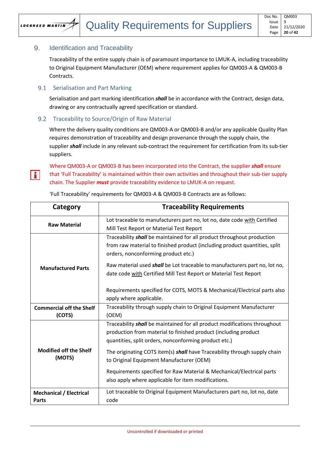<span id="page-19-3"></span>

H

#### <span id="page-19-0"></span>9. Identification and Traceability

Traceability of the entire supply chain is of paramount importance to LMUK-A, including traceability to Original Equipment Manufacturer (OEM) where requirement applies for QM003-A & QM003-B Contracts.

#### <span id="page-19-1"></span>9.1 Serialisation and Part Marking

Serialisation and part marking identification *shall* be in accordance with the Contract, design data, drawing or any contractually agreed specification or standard.

#### <span id="page-19-2"></span>9.2 Traceability to Source/Origin of Raw Material

Where the delivery quality conditions are QM003-A or QM003-B and/or any applicable Quality Plan requires demonstration of traceability and design provenance through the supply chain, the supplier *shall* include in any relevant sub-contract the requirement for certification from its sub-tier suppliers.

Where QM003-A or QM003-B has been incorporated into the Contract, the supplier *shall* ensure that 'Full Traceability' is maintained within their own activities and throughout their sub-tier supply chain. The Supplier *must* provide traceability evidence to LMUK-A on request.

| Category                                       | <b>Traceability Requirements</b>                                                                                                                                                                      |  |  |
|------------------------------------------------|-------------------------------------------------------------------------------------------------------------------------------------------------------------------------------------------------------|--|--|
| <b>Raw Material</b>                            | Lot traceable to manufacturers part no, lot no, date code with Certified<br>Mill Test Report or Material Test Report                                                                                  |  |  |
|                                                | Traceability shall be maintained for all product throughout production<br>from raw material to finished product (including product quantities, split<br>orders, nonconforming product etc.)           |  |  |
| <b>Manufactured Parts</b>                      | Raw material used <i>shall</i> be Lot traceable to manufacturers part no, lot no,<br>date code with Certified Mill Test Report or Material Test Report                                                |  |  |
|                                                | Requirements specified for COTS, MOTS & Mechanical/Electrical parts also<br>apply where applicable.                                                                                                   |  |  |
| <b>Commercial off the Shelf</b><br>(COTS)      | Traceability through supply chain to Original Equipment Manufacturer<br>(OEM)                                                                                                                         |  |  |
|                                                | Traceability shall be maintained for all product modifications throughout<br>production from material to finished product (including product<br>quantities, split orders, nonconforming product etc.) |  |  |
| <b>Modified off the Shelf</b><br>(MOTS)        | The originating COTS item(s) shall have Traceability through supply chain<br>to Original Equipment Manufacturer (OEM)                                                                                 |  |  |
|                                                | Requirements specified for Raw Material & Mechanical/Electrical parts<br>also apply where applicable for item modifications.                                                                          |  |  |
| <b>Mechanical / Electrical</b><br><b>Parts</b> | Lot traceable to Original Equipment Manufacturers part no, lot no, date<br>code                                                                                                                       |  |  |

'Full Traceability' requirements for QM003-A & QM003-B Contracts are as follows: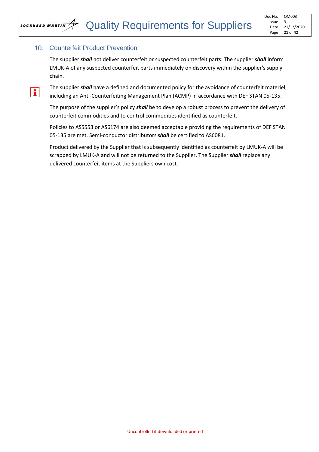<span id="page-20-1"></span>

H

#### <span id="page-20-0"></span>10. Counterfeit Product Prevention

The supplier *shall* not deliver counterfeit or suspected counterfeit parts. The supplier *shall* inform LMUK-A of any suspected counterfeit parts immediately on discovery within the supplier's supply chain.

The supplier *shall* have a defined and documented policy for the avoidance of counterfeit materiel, including an Anti-Counterfeiting Management Plan (ACMP) in accordance with DEF STAN 05-135.

The purpose of the supplier's policy *shall* be to develop a robust process to prevent the delivery of counterfeit commodities and to control commodities identified as counterfeit.

Policies to AS5553 or AS6174 are also deemed acceptable providing the requirements of DEF STAN 05-135 are met. Semi-conductor distributors *shall* be certified to AS6081.

Product delivered by the Supplier that is subsequently identified as counterfeit by LMUK-A will be scrapped by LMUK-A and will not be returned to the Supplier. The Supplier *shall* replace any delivered counterfeit items at the Suppliers own cost.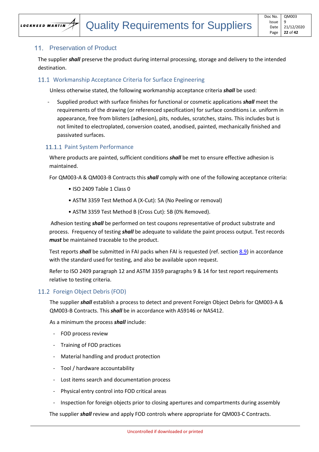#### <span id="page-21-4"></span><span id="page-21-0"></span>11. Preservation of Product

The supplier *shall* preserve the product during internal processing, storage and delivery to the intended destination.

#### <span id="page-21-1"></span>11.1 Workmanship Acceptance Criteria for Surface Engineering

Unless otherwise stated, the following workmanship acceptance criteria *shall* be used:

- Supplied product with surface finishes for functional or cosmetic applications *shall* meet the requirements of the drawing (or referenced specification) for surface conditions i.e. uniform in appearance, free from blisters (adhesion), pits, nodules, scratches, stains. This includes but is not limited to electroplated, conversion coated, anodised, painted, mechanically finished and passivated surfaces.

#### <span id="page-21-2"></span>11.1.1 Paint System Performance

<span id="page-21-5"></span>Where products are painted, sufficient conditions *shall* be met to ensure effective adhesion is maintained.

For QM003-A & QM003-B Contracts this *shall* comply with one of the following acceptance criteria:

- ISO 2409 Table 1 Class 0
- ASTM 3359 Test Method A (X-Cut): 5A (No Peeling or removal)
- ASTM 3359 Test Method B (Cross Cut): 5B (0% Removed).

Adhesion testing *shall* be performed on test coupons representative of product substrate and process. Frequency of testing *shall* be adequate to validate the paint process output. Test records *must* be maintained traceable to the product.

Test reports *shall* be submitted in FAI packs when FAI is requested (ref. section [8.9\)](#page-17-1) in accordance with the standard used for testing, and also be available upon request.

Refer to ISO 2409 paragraph 12 and ASTM 3359 paragraphs 9 & 14 for test report requirements relative to testing criteria.

#### <span id="page-21-3"></span>11.2 Foreign Object Debris (FOD)

The supplier *shall* establish a process to detect and prevent Foreign Object Debris for QM003-A & QM003-B Contracts. This *shall* be in accordance with AS9146 or NAS412.

As a minimum the process *shall* include:

- FOD process review
- Training of FOD practices
- Material handling and product protection
- Tool / hardware accountability
- Lost items search and documentation process
- Physical entry control into FOD critical areas
- Inspection for foreign objects prior to closing apertures and compartments during assembly

The supplier *shall* review and apply FOD controls where appropriate for QM003-C Contracts.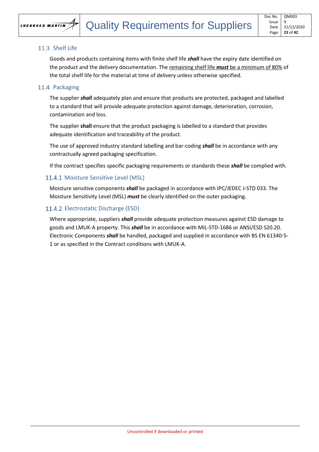<span id="page-22-5"></span><span id="page-22-4"></span>

#### <span id="page-22-0"></span>11.3 Shelf Life

Goods and products containing items with finite shelf life *shall* have the expiry date identified on the product and the delivery documentation. The remaining shelf life *must* be a minimum of 80% of the total shelf life for the material at time of delivery unless otherwise specified.

#### <span id="page-22-1"></span>11.4 Packaging

The supplier *shall* adequately plan and ensure that products are protected, packaged and labelled to a standard that will provide adequate protection against damage, deterioration, corrosion, contamination and loss.

The supplier **shall** ensure that the product packaging is labelled to a standard that provides adequate identification and traceability of the product.

The use of approved industry standard labelling and bar-coding *shall* be in accordance with any contractually agreed packaging specification.

If the contract specifies specific packaging requirements or standards these *shall* be complied with.

#### <span id="page-22-2"></span>11.4.1 Moisture Sensitive Level (MSL)

Moisture sensitive components *shall* be packaged in accordance with IPC/JEDEC J-STD 033. The Moisture Sensitivity Level (MSL) *must* be clearly identified on the outer packaging.

#### <span id="page-22-3"></span>11.4.2 Electrostatic Discharge (ESD)

Where appropriate, suppliers *shall* provide adequate protection measures against ESD damage to goods and LMUK-A property. This *shall* be in accordance with MIL-STD-1686 or ANSI/ESD S20.20. Electronic Components *shall* be handled, packaged and supplied in accordance with BS EN 61340-5- 1 or as specified in the Contract conditions with LMUK-A.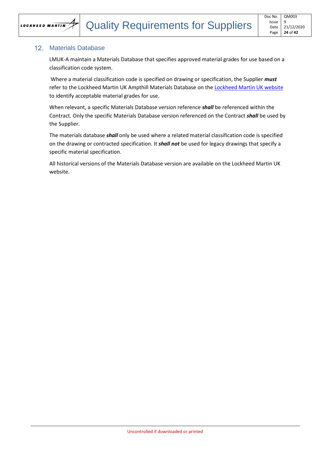<span id="page-23-1"></span>

#### <span id="page-23-0"></span> $12<sup>2</sup>$ Materials Database

LMUK-A maintain a Materials Database that specifies approved material grades for use based on a classification code system.

Where a material classification code is specified on drawing or specification, the Supplier *must* refer to the Lockheed Martin UK Ampthill Materials Database on the [Lockheed Martin UK website](https://www.lockheedmartin.com/en-gb/suppliers.html)  to identify acceptable material grades for use.

When relevant, a specific Materials Database version reference *shall* be referenced within the Contract. Only the specific Materials Database version referenced on the Contract *shall* be used by the Supplier.

The materials database *shall* only be used where a related material classification code is specified on the drawing or contracted specification. It *shall not* be used for legacy drawings that specify a specific material specification.

All historical versions of the Materials Database version are available on the Lockheed Martin UK website.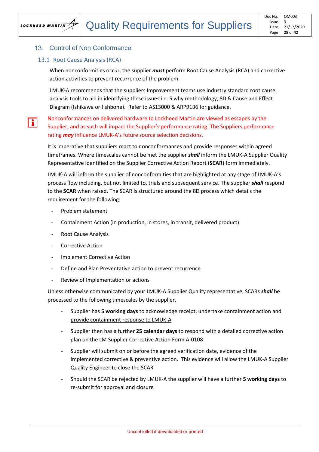#### <span id="page-24-2"></span><span id="page-24-0"></span>13. Control of Non Conformance

#### <span id="page-24-1"></span>13.1 Root Cause Analysis (RCA)

When nonconformities occur, the supplier *must* perform Root Cause Analysis (RCA) and corrective action activities to prevent recurrence of the problem.

LMUK-A recommends that the suppliers Improvement teams use industry standard root cause analysis tools to aid in identifying these issues i.e. 5 why methodology, 8D & Cause and Effect Diagram (Ishikawa or fishbone). Refer to AS13000 & ARP9136 for guidance.

## H

Nonconformances on delivered hardware to Lockheed Martin are viewed as escapes by the Supplier, and as such will impact the Supplier's performance rating. The Suppliers performance rating *may* influence LMUK-A's future source selection decisions.

It is imperative that suppliers react to nonconformances and provide responses within agreed timeframes. Where timescales cannot be met the supplier *shall* inform the LMUK-A Supplier Quality Representative identified on the Supplier Corrective Action Report (**SCAR**) form immediately.

LMUK-A will inform the supplier of nonconformities that are highlighted at any stage of LMUK-A's process flow including, but not limited to, trials and subsequent service. The supplier *shall* respond to the **SCAR** when raised. The SCAR is structured around the 8D process which details the requirement for the following:

- Problem statement
- Containment Action (in production, in stores, in transit, delivered product)
- Root Cause Analysis
- Corrective Action
- Implement Corrective Action
- Define and Plan Preventative action to prevent recurrence
- Review of Implementation or actions

Unless otherwise communicated by your LMUK-A Supplier Quality representative, SCARs *shall* be processed to the following timescales by the supplier.

- Supplier has **5 working days** to acknowledge receipt, undertake containment action and provide containment response to LMUK-A
- Supplier then has a further **25 calendar days** to respond with a detailed corrective action plan on the LM Supplier Corrective Action Form A-0108
- Supplier will submit on or before the agreed verification date, evidence of the implemented corrective & preventive action. This evidence will allow the LMUK-A Supplier Quality Engineer to close the SCAR
- Should the SCAR be rejected by LMUK-A the supplier will have a further **5 working days** to re-submit for approval and closure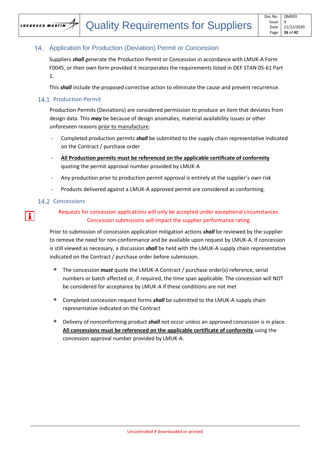#### <span id="page-25-3"></span><span id="page-25-0"></span>14. Application for Production (Deviation) Permit or Concession

Suppliers *shall* generate the Production Permit or Concession in accordance with LMUK-A Form F0045, or their own form provided it incorporates the requirements listed in DEF STAN 05-61 Part 1.

This **shall** include the proposed corrective action to eliminate the cause and prevent recurrence.

#### <span id="page-25-1"></span>14.1 Production Permit

Production Permits (Deviations) are considered permission to produce an item that deviates from design data. This *may* be because of design anomalies, material availability issues or other unforeseen reasons prior to manufacture.

- Completed production permits *shall* be submitted to the supply chain representative indicated on the Contract / purchase order
- **All Production permits must be referenced on the applicable certificate of conformity** quoting the permit approval number provided by LMUK-A
- Any production prior to production permit approval is entirely at the supplier's own risk
- Products delivered against a LMUK-A approved permit are considered as conforming.

#### <span id="page-25-2"></span>14.2 Concessions

A

#### Requests for concession applications will only be accepted under exceptional circumstances. Concession submissions will impact the supplier performance rating.

Prior to submission of concession application mitigation actions *shall* be reviewed by the supplier to remove the need for non-conformance and be available upon request by LMUK-A. If concession is still viewed as necessary, a discussion *shall* be held with the LMUK-A supply chain representative indicated on the Contract / purchase order before submission.

- The concession *must* quote the LMUK-A Contract / purchase order(s) reference, serial numbers or batch affected or, if required, the time span applicable. The concession will NOT be considered for acceptance by LMUK-A if these conditions are not met
- Completed concession request forms *shall* be submitted to the LMUK-A supply chain representative indicated on the Contract
- Delivery of nonconforming product *shall* not occur unless an approved concession is in place. **All concessions must be referenced on the applicable certificate of conformity** using the concession approval number provided by LMUK-A.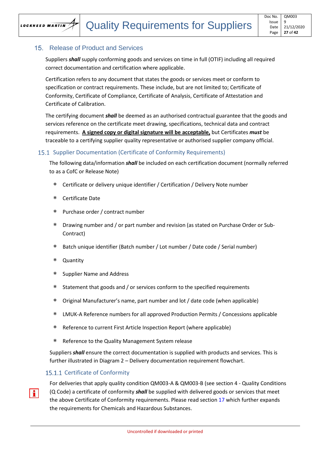#### <span id="page-26-3"></span><span id="page-26-0"></span>15. Release of Product and Services

Suppliers *shall* supply conforming goods and services on time in full (OTIF) including all required correct documentation and certification where applicable.

Certification refers to any document that states the goods or services meet or conform to specification or contract requirements. These include, but are not limited to; Certificate of Conformity, Certificate of Compliance, Certificate of Analysis, Certificate of Attestation and Certificate of Calibration.

The certifying document *shall* be deemed as an authorised contractual guarantee that the goods and services reference on the certificate meet drawing, specifications, technical data and contract requirements. **A signed copy or digital signature will be acceptable,** but Certificates *must* be traceable to a certifying supplier quality representative or authorised supplier company official.

#### <span id="page-26-1"></span>15.1 Supplier Documentation (Certificate of Conformity Requirements)

The following data/information *shall* be included on each certification document (normally referred to as a CofC or Release Note)

- Certificate or delivery unique identifier / Certification / Delivery Note number
- Certificate Date
- Purchase order / contract number
- Drawing number and / or part number and revision (as stated on Purchase Order or Sub-Contract)
- Batch unique identifier (Batch number / Lot number / Date code / Serial number)
- Quantity
- Supplier Name and Address
- Statement that goods and / or services conform to the specified requirements
- Original Manufacturer's name, part number and lot / date code (when applicable)
- LMUK-A Reference numbers for all approved Production Permits / Concessions applicable
- Reference to current First Article Inspection Report (where applicable)
- Reference to the Quality Management System release

Suppliers *shall* ensure the correct documentation is supplied with products and services. This is further illustrated in Diagram 2 – [Delivery documentation requirement flowchart.](#page-28-0)

#### <span id="page-26-2"></span>15.1.1 Certificate of Conformity



For deliveries that apply quality condition QM003-A & QM003-B (see section 4 - [Quality Conditions](#page-6-3) [\(Q Code\)](#page-6-3) a certificate of conformity *shall* be supplied with delivered goods or services that meet the above Certificate of Conformity requirements. Please read section [17](#page-30-0) which further expands the requirements for Chemicals and Hazardous Substances.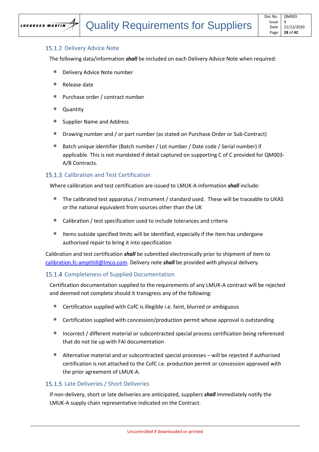## <span id="page-27-0"></span>15.1.2 Delivery Advice Note

The following data/information *shall* be included on each Delivery Advice Note when required:

- Delivery Advice Note number
- Release date
- Purchase order / contract number
- Quantity

**LOCKHEED MARTIN** 

- Supplier Name and Address
- Drawing number and / or part number (as stated on Purchase Order or Sub-Contract)
- Batch unique identifier (Batch number / Lot number / Date code / Serial number) if applicable. This is not mandated if detail captured on supporting C of C provided for QM003- A/B Contracts.

## <span id="page-27-1"></span>15.1.3 Calibration and Test Certification

Where calibration and test certification are issued to LMUK-A information *shall* include:

- The calibrated test apparatus / instrument / standard used. These will be traceable to UKAS or the national equivalent from sources other than the UK
- Calibration / test specification used to include tolerances and criteria
- Items outside specified limits will be identified, especially if the item has undergone authorised repair to bring it into specification

Calibration and test certification *shall* be submitted electronically prior to shipment of item to [calibration.fc-ampthill@lmco.com.](mailto:calibration.fc-ampthill@lmco.com) Delivery note *shall* be provided with physical delivery.

## <span id="page-27-2"></span>15.1.4 Completeness of Supplied Documentation

Certification documentation supplied to the requirements of any LMUK-A contract will be rejected and deemed not complete should it transgress any of the following:

- Certification supplied with CofC is illegible i.e. faint, blurred or ambiguous
- Certification supplied with concession/production permit whose approval is outstanding
- Incorrect / different material or subcontracted special process certification being referenced that do not tie up with FAI documentation
- Alternative material and or subcontracted special processes will be rejected if authorised certification is not attached to the CofC i.e. production permit or concession approved with the prior agreement of LMUK-A.

## <span id="page-27-3"></span>15.1.5 Late Deliveries / Short Deliveries

If non-delivery, short or late deliveries are anticipated, suppliers *shall* immediately notify the LMUK-A supply chain representative indicated on the Contract.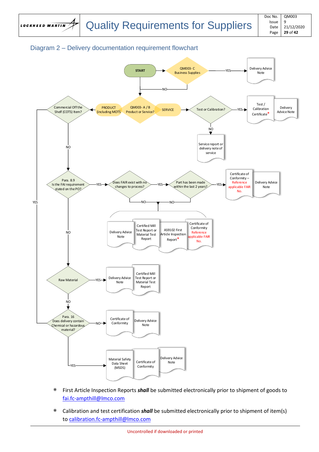## <span id="page-28-0"></span>Diagram 2 – Delivery documentation requirement flowchart

**LOCKHEED MARTIN** 



- First Article Inspection Reports *shall* be submitted electronically prior to shipment of goods to [fai.fc-ampthill@lmco.com](mailto:fai.fc-ampthill@lmco.com)
- Calibration and test certification *shall* be submitted electronically prior to shipment of item(s) to [calibration.fc-ampthill@lmco.com](mailto:calibration.fc-ampthill@lmco.com)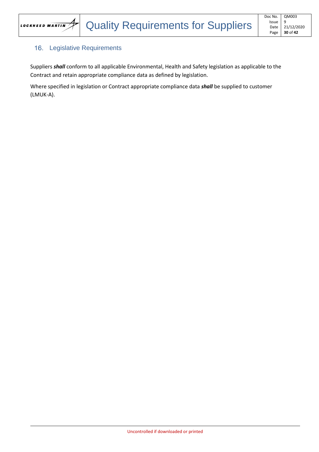#### <span id="page-29-1"></span><span id="page-29-0"></span>16. Legislative Requirements

Suppliers *shall* conform to all applicable Environmental, Health and Safety legislation as applicable to the Contract and retain appropriate compliance data as defined by legislation.

Where specified in legislation or Contract appropriate compliance data *shall* be supplied to customer (LMUK-A).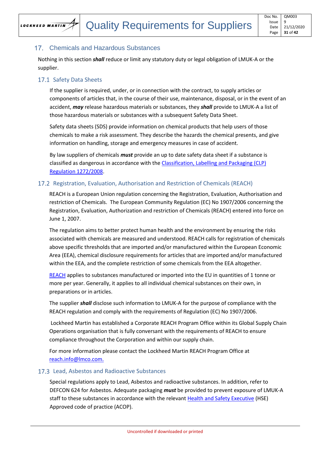#### <span id="page-30-4"></span><span id="page-30-0"></span>17. Chemicals and Hazardous Substances

Nothing in this section *shall* reduce or limit any statutory duty or legal obligation of LMUK-A or the supplier.

#### <span id="page-30-1"></span>17.1 Safety Data Sheets

If the supplier is required, under, or in connection with the contract, to supply articles or components of articles that, in the course of their use, maintenance, disposal, or in the event of an accident, *may* release hazardous materials or substances, they *shall* provide to LMUK-A a list of those hazardous materials or substances with a subsequent Safety Data Sheet.

Safety data sheets (SDS) provide information on chemical products that help users of those chemicals to make a risk assessment. They describe the hazards the chemical presents, and give information on handling, storage and emergency measures in case of accident.

By law suppliers of chemicals *must* provide an up to date safety data sheet if a substance is classified as dangerous in accordance with the [Classification, Labelling and](http://www.hse.gov.uk/chemical-classification/legal/clp-regulation.htm) Packaging (CLP) [Regulation 1272/2008.](http://www.hse.gov.uk/chemical-classification/legal/clp-regulation.htm)

#### <span id="page-30-2"></span>17.2 Registration, Evaluation, Authorisation and Restriction of Chemicals (REACH)

REACH is a European Union regulation concerning the Registration, Evaluation, Authorisation and restriction of Chemicals. The European Community Regulation (EC) No 1907/2006 concerning the Registration, Evaluation, Authorization and restriction of Chemicals (REACH) entered into force on June 1, 2007.

The regulation aims to better protect human health and the environment by ensuring the risks associated with chemicals are measured and understood. REACH calls for registration of chemicals above specific thresholds that are imported and/or manufactured within the European Economic Area (EEA), chemical disclosure requirements for articles that are imported and/or manufactured within the EEA, and the complete restriction of some chemicals from the EEA altogether.

[REACH](http://www.hse.gov.uk/reach/) applies to substances manufactured or imported into the EU in quantities of 1 tonne or more per year. Generally, it applies to all individual chemical substances on their own, in preparations or in articles.

The supplier *shall* disclose such information to LMUK-A for the purpose of compliance with the REACH regulation and comply with the requirements of Regulation (EC) No 1907/2006.

Lockheed Martin has established a Corporate REACH Program Office within its Global Supply Chain Operations organisation that is fully conversant with the requirements of REACH to ensure compliance throughout the Corporation and within our supply chain.

For more information please contact the Lockheed Martin REACH Program Office at [reach.info@lmco.com.](mailto:reach.info@lmco.com)

#### <span id="page-30-3"></span>17.3 Lead, Asbestos and Radioactive Substances

Special regulations apply to Lead, Asbestos and radioactive substances. In addition, refer to DEFCON 624 for Asbestos. Adequate packaging *must* be provided to prevent exposure of LMUK-A staff to these substances in accordance with the relevant [Health and Safety Executive](http://www.hse.gov.uk/index.htm) (HSE) Approved code of practice (ACOP).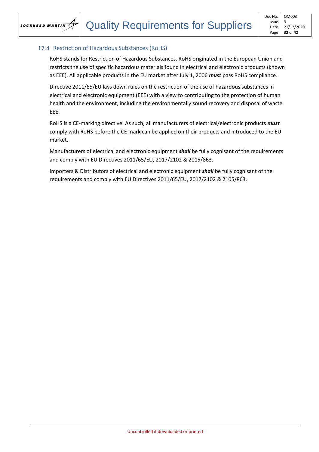#### <span id="page-31-0"></span>17.4 Restriction of Hazardous Substances (RoHS)

RoHS stands for Restriction of Hazardous Substances. RoHS originated in the European Union and restricts the use of specific hazardous materials found in electrical and electronic products (known as EEE). All applicable products in the EU market after July 1, 2006 *must* pass RoHS compliance.

Directive 2011/65/EU lays down rules on the restriction of the use of hazardous substances in electrical and electronic equipment (EEE) with a view to contributing to the protection of human health and the environment, including the environmentally sound recovery and disposal of waste EEE.

RoHS is a CE-marking directive. As such, all manufacturers of electrical/electronic products *must* comply with RoHS before the CE mark can be applied on their products and introduced to the EU market.

Manufacturers of electrical and electronic equipment *shall* be fully cognisant of the requirements and comply with EU Directives 2011/65/EU, 2017/2102 & 2015/863.

Importers & Distributors of electrical and electronic equipment *shall* be fully cognisant of the requirements and comply with EU Directives 2011/65/EU, 2017/2102 & 2105/863.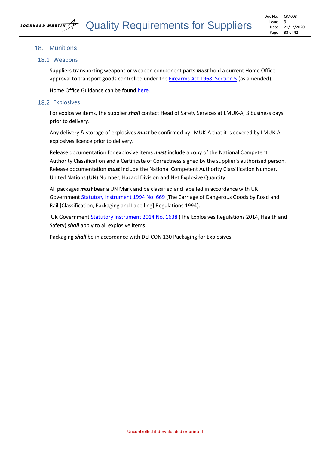<span id="page-32-3"></span>

#### <span id="page-32-0"></span>18. Munitions

#### <span id="page-32-1"></span>18.1 Weapons

Suppliers transporting weapons or weapon component parts *must* hold a current Home Office approval to transport goods controlled under the **Firearms Act 1968, Section 5** (as amended).

Home Office Guidance can be found [here.](https://www.gov.uk/government/uploads/system/uploads/attachment_data/file/518193/Guidance_on_Firearms_Licensing_Law_April_2016_v20.pdf)

#### <span id="page-32-2"></span>18.2 Explosives

For explosive items, the supplier *shall* contact Head of Safety Services at LMUK-A, 3 business days prior to delivery.

Any delivery & storage of explosives *must* be confirmed by LMUK-A that it is covered by LMUK-A explosives licence prior to delivery.

Release documentation for explosive items *must* include a copy of the National Competent Authority Classification and a Certificate of Correctness signed by the supplier's authorised person. Release documentation *must* include the National Competent Authority Classification Number, United Nations (UN) Number, Hazard Division and Net Explosive Quantity.

All packages *must* bear a UN Mark and be classified and labelled in accordance with UK Governmen[t Statutory Instrument 1994 No. 669](http://www.legislation.gov.uk/uksi/1994/669/contents/made) (The Carriage of Dangerous Goods by Road and Rail [Classification, Packaging and Labelling] Regulations 1994).

UK Governmen[t Statutory Instrument 2014 No. 1638](http://www.legislation.gov.uk/uksi/2014/1638/contents/made) (The Explosives Regulations 2014, Health and Safety) *shall* apply to all explosive items.

Packaging *shall* be in accordance with DEFCON 130 Packaging for Explosives.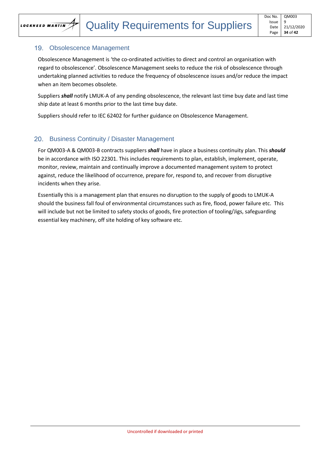#### <span id="page-33-3"></span><span id="page-33-2"></span><span id="page-33-0"></span>19. Obsolescence Management

Obsolescence Management is 'the co-ordinated activities to direct and control an organisation with regard to obsolescence'. Obsolescence Management seeks to reduce the risk of obsolescence through undertaking planned activities to reduce the frequency of obsolescence issues and/or reduce the impact when an item becomes obsolete.

Suppliers *shall* notify LMUK-A of any pending obsolescence, the relevant last time buy date and last time ship date at least 6 months prior to the last time buy date.

Suppliers should refer to IEC 62402 for further guidance on Obsolescence Management.

#### <span id="page-33-1"></span> $20<sub>1</sub>$ Business Continuity / Disaster Management

For QM003-A & QM003-B contracts suppliers *shall* have in place a business continuity plan. This *should* be in accordance with ISO 22301. This includes requirements to plan, establish, implement, operate, monitor, review, maintain and continually improve a documented management system to protect against, reduce the likelihood of occurrence, prepare for, respond to, and recover from disruptive incidents when they arise.

Essentially this is a management plan that ensures no disruption to the supply of goods to LMUK-A should the business fall foul of environmental circumstances such as fire, flood, power failure etc. This will include but not be limited to safety stocks of goods, fire protection of tooling/Jigs, safeguarding essential key machinery, off site holding of key software etc.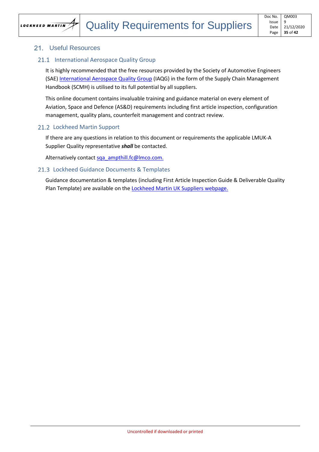#### <span id="page-34-0"></span> $21<sub>1</sub>$ Useful Resources

#### 21.1 International Aerospace Quality Group

<span id="page-34-1"></span>It is highly recommended that the free resources provided by the Society of Automotive Engineers (SAE) [International Aerospace Quality Group](https://www.sae.org/iaqg/) (IAQG) in the form of the Supply Chain Management Handbook (SCMH) is utilised to its full potential by all suppliers.

This online document contains invaluable training and guidance material on every element of Aviation, Space and Defence (AS&D) requirements including first article inspection, configuration management, quality plans, counterfeit management and contract review.

#### <span id="page-34-2"></span>21.2 Lockheed Martin Support

If there are any questions in relation to this document or requirements the applicable LMUK-A Supplier Quality representative *shall* be contacted.

Alternatively contac[t sqa\\_ampthill.fc@lmco.com.](mailto:sqa_ampthill.fc@lmco.com)

#### <span id="page-34-3"></span>21.3 Lockheed Guidance Documents & Templates

Guidance documentation & templates (including First Article Inspection Guide & Deliverable Quality Plan Template) are available on th[e Lockheed Martin UK Suppliers webpage.](https://www.lockheedmartin.com/en-gb/suppliers.html)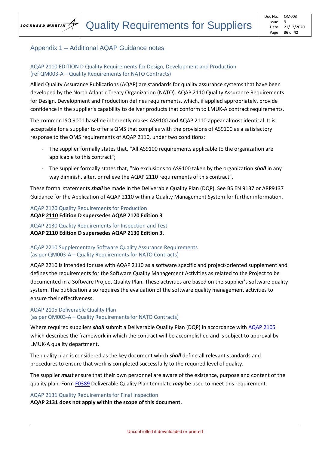#### <span id="page-35-0"></span>Appendix 1 – Additional AQAP Guidance notes

#### AQAP 2110 EDITION D Quality Requirements for Design, Development and Production (ref QM003-A – Quality Requirements for NATO Contracts)

Allied Quality Assurance Publications (AQAP) are standards for quality assurance systems that have been developed by the North Atlantic Treaty Organization (NATO). AQAP 2110 Quality Assurance Requirements for Design, Development and Production defines requirements, which, if applied appropriately, provide confidence in the supplier's capability to deliver products that conform to LMUK-A contract requirements.

The common ISO 9001 baseline inherently makes AS9100 and AQAP 2110 appear almost identical. It is acceptable for a supplier to offer a QMS that complies with the provisions of AS9100 as a satisfactory response to the QMS requirements of AQAP 2110, under two conditions:

- The supplier formally states that, "All AS9100 requirements applicable to the organization are applicable to this contract";
- The supplier formally states that, "No exclusions to AS9100 taken by the organization *shall* in any way diminish, alter, or relieve the AQAP 2110 requirements of this contract".

These formal statements *shall* be made in the Deliverable Quality Plan (DQP). See BS EN 9137 or ARP9137 Guidance for the Application of AQAP 2110 within a Quality Management System for further information.

AQAP 2120 Quality Requirements for Production **AQAP 2110 Edition D supersedes AQAP 2120 Edition 3**.

AQAP 2130 Quality Requirements for Inspection and Test **AQAP 2110 Edition D supersedes AQAP 2130 Edition 3.**

#### AQAP 2210 Supplementary Software Quality Assurance Requirements (as per QM003-A – Quality Requirements for NATO Contracts)

AQAP 2210 is intended for use with AQAP 2110 as a software specific and project-oriented supplement and defines the requirements for the Software Quality Management Activities as related to the Project to be documented in a Software Project Quality Plan. These activities are based on the supplier's software quality system. The publication also requires the evaluation of the software quality management activities to ensure their effectiveness.

#### AQAP 2105 Deliverable Quality Plan (as per QM003-A – Quality Requirements for NATO Contracts)

Where required suppliers *shall* submit a Deliverable Quality Plan (DQP) in accordance wit[h AQAP 2105](http://infostore.saiglobal.com/store/details.aspx?ProductID=1398274) which describes the framework in which the contract will be accomplished and is subject to approval by LMUK-A quality department.

The quality plan is considered as the key document which *shall* define all relevant standards and procedures to ensure that work is completed successfully to the required level of quality.

The supplier *must* ensure that their own personnel are aware of the existence, purpose and content of the quality plan. Form [F0389](https://www.lockheedmartin.com/content/dam/lockheed-martin/uk/documents/suppliers/F0389%20Deliverable%20Quality%20Plan%20Template.docx) Deliverable Quality Plan template *may* be used to meet this requirement.

#### AQAP 2131 Quality Requirements for Final Inspection

**AQAP 2131 does not apply within the scope of this document.**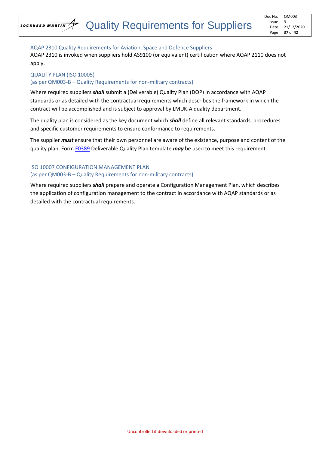#### AQAP 2310 Quality Requirements for Aviation, Space and Defence Suppliers

AQAP 2310 is invoked when suppliers hold AS9100 (or equivalent) certification where AQAP 2110 does not apply.

#### QUALITY PLAN (ISO 10005) (as per QM003-B – Quality Requirements for non-military contracts)

Where required suppliers *shall* submit a (Deliverable) Quality Plan (DQP) in accordance with AQAP standards or as detailed with the contractual requirements which describes the framework in which the contract will be accomplished and is subject to approval by LMUK-A quality department.

The quality plan is considered as the key document which *shall* define all relevant standards, procedures and specific customer requirements to ensure conformance to requirements.

The supplier *must* ensure that their own personnel are aware of the existence, purpose and content of the quality plan. Form [F0389](https://www.lockheedmartin.com/content/dam/lockheed-martin/uk/documents/suppliers/F0389%20Deliverable%20Quality%20Plan%20Template.docx) Deliverable Quality Plan template *may* be used to meet this requirement.

#### ISO 10007 CONFIGURATION MANAGEMENT PLAN (as per QM003-B – Quality Requirements for non-military contracts)

Where required suppliers *shall* prepare and operate a Configuration Management Plan, which describes the application of configuration management to the contract in accordance with AQAP standards or as detailed with the contractual requirements.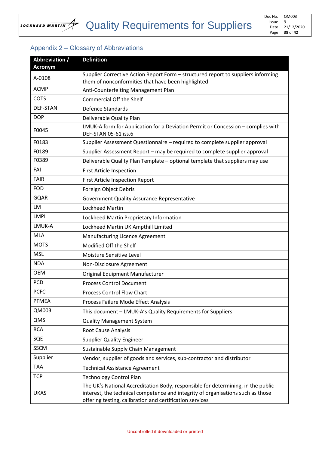## <span id="page-37-0"></span>Appendix 2 – Glossary of Abbreviations

| Abbreviation /<br><b>Acronym</b> | <b>Definition</b>                                                                                                                                                                                                               |
|----------------------------------|---------------------------------------------------------------------------------------------------------------------------------------------------------------------------------------------------------------------------------|
| A-0108                           | Supplier Corrective Action Report Form - structured report to suppliers informing                                                                                                                                               |
| <b>ACMP</b>                      | them of nonconformities that have been highlighted<br>Anti-Counterfeiting Management Plan                                                                                                                                       |
| <b>COTS</b>                      | <b>Commercial Off the Shelf</b>                                                                                                                                                                                                 |
| <b>DEF-STAN</b>                  |                                                                                                                                                                                                                                 |
| <b>DQP</b>                       | <b>Defence Standards</b>                                                                                                                                                                                                        |
|                                  | Deliverable Quality Plan                                                                                                                                                                                                        |
| F0045                            | LMUK-A form for Application for a Deviation Permit or Concession - complies with<br>DEF-STAN 05-61 iss.6                                                                                                                        |
| F0183                            | Supplier Assessment Questionnaire - required to complete supplier approval                                                                                                                                                      |
| F0189                            | Supplier Assessment Report - may be required to complete supplier approval                                                                                                                                                      |
| F0389                            | Deliverable Quality Plan Template - optional template that suppliers may use                                                                                                                                                    |
| FAI                              | <b>First Article Inspection</b>                                                                                                                                                                                                 |
| <b>FAIR</b>                      | <b>First Article Inspection Report</b>                                                                                                                                                                                          |
| <b>FOD</b>                       | Foreign Object Debris                                                                                                                                                                                                           |
| GQAR                             | <b>Government Quality Assurance Representative</b>                                                                                                                                                                              |
| <b>LM</b>                        | Lockheed Martin                                                                                                                                                                                                                 |
| <b>LMPI</b>                      | Lockheed Martin Proprietary Information                                                                                                                                                                                         |
| LMUK-A                           | Lockheed Martin UK Ampthill Limited                                                                                                                                                                                             |
| <b>MLA</b>                       | Manufacturing Licence Agreement                                                                                                                                                                                                 |
| <b>MOTS</b>                      | Modified Off the Shelf                                                                                                                                                                                                          |
| <b>MSL</b>                       | Moisture Sensitive Level                                                                                                                                                                                                        |
| <b>NDA</b>                       | Non-Disclosure Agreement                                                                                                                                                                                                        |
| <b>OEM</b>                       | Original Equipment Manufacturer                                                                                                                                                                                                 |
| <b>PCD</b>                       | <b>Process Control Document</b>                                                                                                                                                                                                 |
| <b>PCFC</b>                      | <b>Process Control Flow Chart</b>                                                                                                                                                                                               |
| <b>PFMEA</b>                     | Process Failure Mode Effect Analysis                                                                                                                                                                                            |
| QM003                            | This document - LMUK-A's Quality Requirements for Suppliers                                                                                                                                                                     |
| QMS                              | <b>Quality Management System</b>                                                                                                                                                                                                |
| <b>RCA</b>                       | Root Cause Analysis                                                                                                                                                                                                             |
| SQE                              | <b>Supplier Quality Engineer</b>                                                                                                                                                                                                |
| <b>SSCM</b>                      | Sustainable Supply Chain Management                                                                                                                                                                                             |
| Supplier                         | Vendor, supplier of goods and services, sub-contractor and distributor                                                                                                                                                          |
| <b>TAA</b>                       | <b>Technical Assistance Agreement</b>                                                                                                                                                                                           |
| <b>TCP</b>                       | <b>Technology Control Plan</b>                                                                                                                                                                                                  |
| <b>UKAS</b>                      | The UK's National Accreditation Body, responsible for determining, in the public<br>interest, the technical competence and integrity of organisations such as those<br>offering testing, calibration and certification services |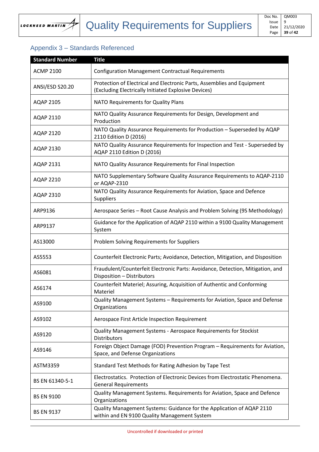## <span id="page-38-0"></span>Appendix 3 – Standards Referenced

| <b>Standard Number</b> | <b>Title</b>                                                                                                                    |
|------------------------|---------------------------------------------------------------------------------------------------------------------------------|
| <b>ACMP 2100</b>       | <b>Configuration Management Contractual Requirements</b>                                                                        |
| <b>ANSI/ESD S20.20</b> | Protection of Electrical and Electronic Parts, Assemblies and Equipment<br>(Excluding Electrically Initiated Explosive Devices) |
| <b>AQAP 2105</b>       | NATO Requirements for Quality Plans                                                                                             |
| <b>AQAP 2110</b>       | NATO Quality Assurance Requirements for Design, Development and<br>Production                                                   |
| <b>AQAP 2120</b>       | NATO Quality Assurance Requirements for Production - Superseded by AQAP<br>2110 Edition D (2016)                                |
| <b>AQAP 2130</b>       | NATO Quality Assurance Requirements for Inspection and Test - Superseded by<br>AQAP 2110 Edition D (2016)                       |
| <b>AQAP 2131</b>       | NATO Quality Assurance Requirements for Final Inspection                                                                        |
| <b>AQAP 2210</b>       | NATO Supplementary Software Quality Assurance Requirements to AQAP-2110<br>or AQAP-2310                                         |
| <b>AQAP 2310</b>       | NATO Quality Assurance Requirements for Aviation, Space and Defence<br><b>Suppliers</b>                                         |
| ARP9136                | Aerospace Series - Root Cause Analysis and Problem Solving (9S Methodology)                                                     |
| ARP9137                | Guidance for the Application of AQAP 2110 within a 9100 Quality Management<br>System                                            |
| AS13000                | Problem Solving Requirements for Suppliers                                                                                      |
| AS5553                 | Counterfeit Electronic Parts; Avoidance, Detection, Mitigation, and Disposition                                                 |
| AS6081                 | Fraudulent/Counterfeit Electronic Parts: Avoidance, Detection, Mitigation, and<br>Disposition - Distributors                    |
| AS6174                 | Counterfeit Materiel; Assuring, Acquisition of Authentic and Conforming<br>Materiel                                             |
| AS9100                 | Quality Management Systems - Requirements for Aviation, Space and Defense<br>Organizations                                      |
| AS9102                 | Aerospace First Article Inspection Requirement                                                                                  |
| AS9120                 | Quality Management Systems - Aerospace Requirements for Stockist<br>Distributors                                                |
| AS9146                 | Foreign Object Damage (FOD) Prevention Program - Requirements for Aviation,<br>Space, and Defense Organizations                 |
| ASTM3359               | Standard Test Methods for Rating Adhesion by Tape Test                                                                          |
| BS EN 61340-5-1        | Electrostatics. Protection of Electronic Devices from Electrostatic Phenomena.<br><b>General Requirements</b>                   |
| <b>BS EN 9100</b>      | Quality Management Systems. Requirements for Aviation, Space and Defence<br>Organizations                                       |
| <b>BS EN 9137</b>      | Quality Management Systems: Guidance for the Application of AQAP 2110<br>within and EN 9100 Quality Management System           |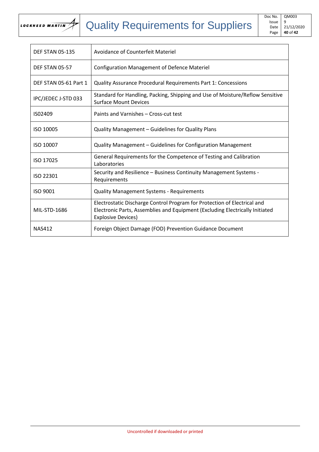

# Quality Requirements for Suppliers

| <b>DEF STAN 05-135</b>       | Avoidance of Counterfeit Materiel                                                                                                                                                     |
|------------------------------|---------------------------------------------------------------------------------------------------------------------------------------------------------------------------------------|
| DEF STAN 05-57               | <b>Configuration Management of Defence Materiel</b>                                                                                                                                   |
| <b>DEF STAN 05-61 Part 1</b> | <b>Quality Assurance Procedural Requirements Part 1: Concessions</b>                                                                                                                  |
| IPC/JEDEC J-STD 033          | Standard for Handling, Packing, Shipping and Use of Moisture/Reflow Sensitive<br><b>Surface Mount Devices</b>                                                                         |
| IS02409                      | Paints and Varnishes - Cross-cut test                                                                                                                                                 |
| ISO 10005                    | Quality Management - Guidelines for Quality Plans                                                                                                                                     |
| ISO 10007                    | Quality Management – Guidelines for Configuration Management                                                                                                                          |
| ISO 17025                    | General Requirements for the Competence of Testing and Calibration<br>Laboratories                                                                                                    |
| ISO 22301                    | Security and Resilience - Business Continuity Management Systems -<br>Requirements                                                                                                    |
| ISO 9001                     | <b>Quality Management Systems - Requirements</b>                                                                                                                                      |
| MIL-STD-1686                 | Electrostatic Discharge Control Program for Protection of Electrical and<br>Electronic Parts, Assemblies and Equipment (Excluding Electrically Initiated<br><b>Explosive Devices)</b> |
| <b>NAS412</b>                | Foreign Object Damage (FOD) Prevention Guidance Document                                                                                                                              |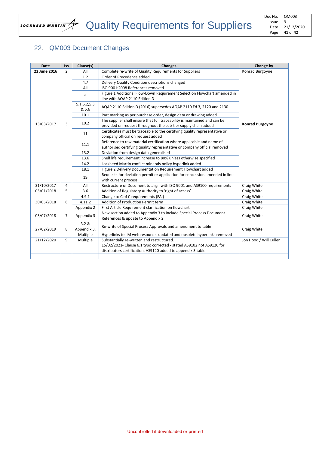## <span id="page-40-0"></span>22. QM003 Document Changes

| <b>Date</b><br><b>Iss</b> |                                                             | Clause(s)              | <b>Changes</b>                                                              | Change by                                                                                                                                                 |                                   |  |
|---------------------------|-------------------------------------------------------------|------------------------|-----------------------------------------------------------------------------|-----------------------------------------------------------------------------------------------------------------------------------------------------------|-----------------------------------|--|
| 22 June 2016<br>All<br>2  |                                                             |                        | Complete re-write of Quality Requirements for Suppliers                     | Konrad Burgoyne                                                                                                                                           |                                   |  |
|                           |                                                             | 1.2                    | Order of Precedence added                                                   |                                                                                                                                                           |                                   |  |
|                           |                                                             | 4.7                    | Delivery Quality Condition descriptions changed                             |                                                                                                                                                           |                                   |  |
|                           |                                                             | All                    | ISO 9001:2008 References removed                                            |                                                                                                                                                           |                                   |  |
|                           |                                                             | 5                      | Figure 1 Additional Flow-Down Requirement Selection Flowchart amended in    |                                                                                                                                                           |                                   |  |
|                           |                                                             |                        | line with AQAP 2110 Edition D                                               |                                                                                                                                                           |                                   |  |
|                           |                                                             | 5.1, 5.2, 5.3<br>& 5.6 | AQAP 2110 Edition D (2016) supersedes AQAP 2110 Ed 3, 2120 and 2130         |                                                                                                                                                           |                                   |  |
|                           |                                                             | 10.1                   | Part marking as per purchase order, design data or drawing added            |                                                                                                                                                           |                                   |  |
|                           |                                                             |                        | The supplier shall ensure that full traceability is maintained and can be   | <b>Konrad Burgoyne</b><br>Craig White<br>Craig White<br>Craig White<br>Craig White<br>Craig White<br>Craig White<br>Craig White<br>Jon Hood / Will Cullen |                                   |  |
| 13/03/2017                | 3                                                           | 10.2                   | provided on request throughout the sub-tier supply chain added              |                                                                                                                                                           |                                   |  |
|                           |                                                             |                        | Certificates must be traceable to the certifying quality representative or  |                                                                                                                                                           |                                   |  |
|                           |                                                             | 11                     | company official on request added                                           |                                                                                                                                                           |                                   |  |
|                           |                                                             | 11.1                   | Reference to raw material certification where applicable and name of        |                                                                                                                                                           |                                   |  |
|                           |                                                             |                        | authorised certifying quality representative or company official removed    |                                                                                                                                                           |                                   |  |
|                           |                                                             | 13.2                   | Deviation from design data generalised                                      |                                                                                                                                                           |                                   |  |
|                           |                                                             | 13.6                   | Shelf life requirement increase to 80% unless otherwise specified           |                                                                                                                                                           |                                   |  |
|                           |                                                             | 14.2                   | Lockheed Martin conflict minerals policy hyperlink added                    |                                                                                                                                                           |                                   |  |
|                           |                                                             | 18.1                   | Figure 2 Delivery Documentation Requirement Flowchart added                 |                                                                                                                                                           |                                   |  |
|                           |                                                             | 19                     | Requests for deviation permit or application for concession amended in line |                                                                                                                                                           |                                   |  |
|                           |                                                             |                        | with current process                                                        |                                                                                                                                                           |                                   |  |
| 31/10/2017                | 4                                                           | All                    | Restructure of Document to align with ISO 9001 and AS9100 requirements      |                                                                                                                                                           |                                   |  |
| 05/01/2018                | 5                                                           | 3.6                    | Addition of Regulatory Authority to 'right of access'                       |                                                                                                                                                           |                                   |  |
|                           |                                                             | 4.9.1                  | Change to C of C requirements (FAI)                                         |                                                                                                                                                           |                                   |  |
| 30/05/2018                | 6                                                           |                        | 4.11.2                                                                      | Addition of Production Permit term                                                                                                                        |                                   |  |
|                           |                                                             | Appendix 2             | First Article Requirement clarification on flowchart                        |                                                                                                                                                           |                                   |  |
| 03/07/2018                | $\overline{7}$                                              | Appendix 3             | New section added to Appendix 3 to include Special Process Document         |                                                                                                                                                           |                                   |  |
|                           |                                                             |                        |                                                                             |                                                                                                                                                           | References & update to Appendix 2 |  |
|                           | 8                                                           | 3.2 &                  | Re-write of Special Process Approvals and amendment to table                |                                                                                                                                                           |                                   |  |
| 27/02/2019                |                                                             | Appendix 3,            |                                                                             |                                                                                                                                                           |                                   |  |
|                           |                                                             | Multiple               | Hyperlinks to LM web resources updated and obsolete hyperlinks removed      |                                                                                                                                                           |                                   |  |
| 21/12/2020                | Substantially re-written and restructured.<br>9<br>Multiple |                        |                                                                             |                                                                                                                                                           |                                   |  |
|                           |                                                             |                        | 15/02/2021- Clause 6.1 typo corrected - stated AS9102 not AS9120 for        |                                                                                                                                                           |                                   |  |
|                           |                                                             |                        | distributors certification. AS9120 added to appendix 3 table.               |                                                                                                                                                           |                                   |  |
|                           |                                                             |                        |                                                                             |                                                                                                                                                           |                                   |  |